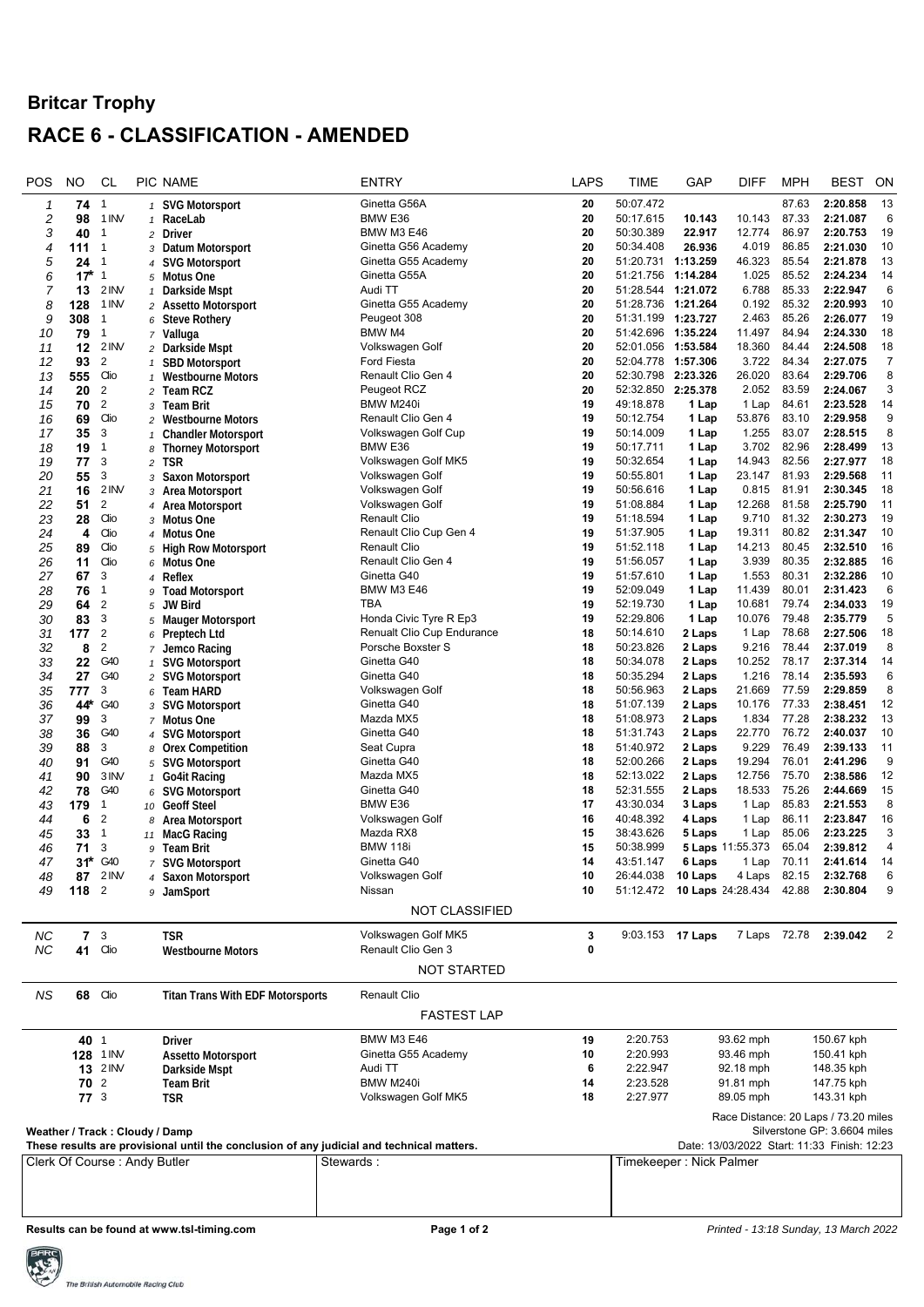## **Britcar Trophy RACE 6 - CLASSIFICATION - AMENDED**

| POS                                                                                       | NO                             | CL                               |                                | PIC NAME                                | <b>ENTRY</b>                                           | <b>LAPS</b>              | TIME                                        | GAP              | <b>DIFF</b>      | <b>MPH</b>     | <b>BEST</b>                          | ON                         |
|-------------------------------------------------------------------------------------------|--------------------------------|----------------------------------|--------------------------------|-----------------------------------------|--------------------------------------------------------|--------------------------|---------------------------------------------|------------------|------------------|----------------|--------------------------------------|----------------------------|
| 1                                                                                         | 74                             | $\overline{1}$                   |                                | 1 SVG Motorsport                        | Ginetta G56A                                           | 20                       | 50:07.472                                   |                  |                  | 87.63          | 2:20.858                             | 13                         |
| 2                                                                                         | 98                             | 1 INV                            | $\mathbf{1}$                   | RaceLab                                 | BMW E36                                                | 20                       | 50:17.615                                   | 10.143           | 10.143           | 87.33          | 2:21.087                             | 6                          |
| 3                                                                                         | 40                             | $\mathbf{1}$                     |                                | 2 Driver                                | <b>BMW M3 E46</b>                                      | 20                       | 50:30.389                                   | 22.917           | 12.774           | 86.97          | 2:20.753                             | 19                         |
| 4                                                                                         | 111                            | $\overline{1}$                   |                                | 3 Datum Motorsport                      | Ginetta G56 Academy                                    | 20                       | 50:34.408                                   | 26.936           | 4.019            | 86.85          | 2:21.030                             | 10                         |
| 5                                                                                         | 24                             | $\overline{1}$                   |                                | 4 SVG Motorsport                        | Ginetta G55 Academy                                    | 20                       | 51:20.731 1:13.259                          |                  | 46.323           | 85.54          | 2:21.878                             | 13                         |
| 6                                                                                         | $17*$                          | $\overline{1}$                   |                                | 5 Motus One                             | Ginetta G55A                                           | 20                       | 51:21.756                                   | 1:14.284         | 1.025            | 85.52          | 2:24.234                             | 14                         |
| 7                                                                                         | 13                             | 2 INV                            |                                | 1 Darkside Mspt                         | Audi TT                                                | 20                       | 51:28.544 1:21.072                          |                  | 6.788            | 85.33          | 2:22.947                             | 6                          |
| 8                                                                                         | 128                            | 1 INV                            |                                | 2 Assetto Motorsport                    | Ginetta G55 Academy                                    | 20                       | 51:28.736                                   | 1:21.264         | 0.192            | 85.32          | 2:20.993                             | 10                         |
| 9                                                                                         | 308                            | $\mathbf{1}$                     | 6                              | <b>Steve Rothery</b>                    | Peugeot 308                                            | 20                       | 51:31.199 1:23.727                          |                  | 2.463            | 85.26          | 2:26.077                             | 19                         |
| 10                                                                                        | 79                             | $\overline{1}$<br>2 INV          |                                | 7 Valluga                               | BMW M4                                                 | 20<br>20                 | 51:42.696<br>52:01.056 1:53.584             | 1:35.224         | 11.497<br>18.360 | 84.94<br>84.44 | 2:24.330<br>2:24.508                 | 18<br>18                   |
| 11                                                                                        | 12<br>93                       | $\overline{2}$                   | $\overline{c}$                 | Darkside Mspt<br><b>SBD Motorsport</b>  | Volkswagen Golf<br>Ford Fiesta                         | 20                       | 52:04.778                                   | 1:57.306         | 3.722            | 84.34          | 2:27.075                             | 7                          |
| 12<br>13                                                                                  | 555                            | Clio                             | $\mathbf{1}$                   | <b>Westbourne Motors</b>                | Renault Clio Gen 4                                     | 20                       | 52:30.798                                   | 2:23.326         | 26.020           | 83.64          | 2:29.706                             | 8                          |
| 14                                                                                        | 20                             | $\overline{2}$                   |                                | 2 Team RCZ                              | Peugeot RCZ                                            | 20                       | 52:32.850 2:25.378                          |                  | 2.052            | 83.59          | 2:24.067                             | 3                          |
| 15                                                                                        | 70                             | $\overline{2}$                   | 3                              | <b>Team Brit</b>                        | BMW M240i                                              | 19                       | 49:18.878                                   | 1 Lap            | 1 Lap            | 84.61          | 2:23.528                             | 14                         |
| 16                                                                                        | 69                             | Clio                             |                                | 2 Westbourne Motors                     | Renault Clio Gen 4                                     | 19                       | 50:12.754                                   | 1 Lap            | 53.876           | 83.10          | 2:29.958                             | 9                          |
| 17                                                                                        | 35                             | 3                                | $\mathbf{1}$                   | <b>Chandler Motorsport</b>              | Volkswagen Golf Cup                                    | 19                       | 50:14.009                                   | 1 Lap            | 1.255            | 83.07          | 2:28.515                             | 8                          |
| 18                                                                                        | 19                             | $\mathbf{1}$                     |                                | 8 Thorney Motorsport                    | BMW E36                                                | 19                       | 50:17.711                                   | 1 Lap            | 3.702            | 82.96          | 2:28.499                             | 13                         |
| 19                                                                                        | 77                             | 3                                | $\overline{c}$                 | <b>TSR</b>                              | Volkswagen Golf MK5                                    | 19                       | 50:32.654                                   | 1 Lap            | 14.943           | 82.56          | 2:27.977                             | 18                         |
| 20                                                                                        | 55                             | 3                                | 3                              | <b>Saxon Motorsport</b>                 | Volkswagen Golf                                        | 19                       | 50:55.801                                   | 1 Lap            | 23.147           | 81.93          | 2:29.568                             | 11                         |
| 21                                                                                        | 16                             | 2 INV                            |                                | 3 Area Motorsport                       | Volkswagen Golf                                        | 19                       | 50:56.616                                   | 1 Lap            | 0.815            | 81.91          | 2:30.345                             | 18                         |
| 22                                                                                        | 51                             | $\overline{2}$                   |                                | 4 Area Motorsport                       | Volkswagen Golf                                        | 19                       | 51:08.884                                   | 1 Lap            | 12.268           | 81.58          | 2:25.790                             | 11                         |
| 23                                                                                        | 28                             | Clio                             |                                | <sub>3</sub> Motus One                  | <b>Renault Clio</b>                                    | 19                       | 51:18.594                                   | 1 Lap            | 9.710            | 81.32          | 2:30.273                             | 19                         |
| 24                                                                                        | 4                              | Clio                             |                                | 4 Motus One                             | Renault Clio Cup Gen 4                                 | 19                       | 51:37.905                                   | 1 Lap            | 19.311           | 80.82          | 2:31.347                             | 10                         |
| 25                                                                                        | 89                             | Clio                             |                                | 5 High Row Motorsport                   | <b>Renault Clio</b>                                    | 19                       | 51:52.118                                   | 1 Lap            | 14.213           | 80.45          | 2:32.510                             | 16                         |
| 26                                                                                        | 11                             | Clio                             | 6                              | Motus One                               | Renault Clio Gen 4                                     | 19                       | 51:56.057                                   | 1 Lap            | 3.939            | 80.35          | 2:32.885                             | 16                         |
| 27                                                                                        | 67                             | 3                                |                                | 4 Reflex                                | Ginetta G40                                            | 19                       | 51:57.610                                   | 1 Lap            | 1.553            | 80.31          | 2:32.286                             | 10                         |
| 28                                                                                        | 76                             | $\mathbf{1}$                     | 9                              | <b>Toad Motorsport</b>                  | <b>BMW M3 E46</b>                                      | 19                       | 52:09.049                                   | 1 Lap            | 11.439           | 80.01          | 2:31.423                             | 6                          |
| 29                                                                                        | 64                             | $\overline{2}$                   | 5                              | <b>JW Bird</b>                          | TBA                                                    | 19                       | 52:19.730                                   | 1 Lap            | 10.681           | 79.74          | 2:34.033                             | 19                         |
| 30                                                                                        | 83                             | 3                                | 5                              | <b>Mauger Motorsport</b>                | Honda Civic Tyre R Ep3                                 | 19                       | 52:29.806                                   | 1 Lap            | 10.076           | 79.48          | 2:35.779                             | 5                          |
| 31                                                                                        | 177                            | $\overline{2}$<br>$\overline{2}$ |                                | 6 Preptech Ltd                          | <b>Renualt Clio Cup Endurance</b><br>Porsche Boxster S | 18<br>18                 | 50:14.610<br>50:23.826                      | 2 Laps<br>2 Laps | 1 Lap<br>9.216   | 78.68<br>78.44 | 2:27.506<br>2:37.019                 | 18<br>8                    |
| 32<br>33                                                                                  | 8<br>22                        | G40                              |                                | 7 Jemco Racing<br><b>SVG Motorsport</b> | Ginetta G40                                            | 18                       | 50:34.078                                   | 2 Laps           | 10.252           | 78.17          | 2:37.314                             | 14                         |
| 34                                                                                        | 27                             | G40                              | $\mathbf{1}$<br>$\overline{c}$ | <b>SVG Motorsport</b>                   | Ginetta G40                                            | 18                       | 50:35.294                                   | 2 Laps           | 1.216            | 78.14          | 2:35.593                             | 6                          |
| 35                                                                                        | 777                            | 3                                |                                | 6 Team HARD                             | Volkswagen Golf                                        | 18                       | 50:56.963                                   | 2 Laps           | 21.669           | 77.59          | 2:29.859                             | 8                          |
| 36                                                                                        | 44*                            | G40                              |                                | 3 SVG Motorsport                        | Ginetta G40                                            | 18                       | 51:07.139                                   | 2 Laps           | 10.176           | 77.33          | 2:38.451                             | 12                         |
| 37                                                                                        | 99                             | 3                                |                                | 7 Motus One                             | Mazda MX5                                              | 18                       | 51:08.973                                   | 2 Laps           | 1.834            | 77.28          | 2:38.232                             | 13                         |
| 38                                                                                        | 36                             | G40                              |                                | 4 SVG Motorsport                        | Ginetta G40                                            | 18                       | 51:31.743                                   | 2 Laps           | 22.770           | 76.72          | 2:40.037                             | 10                         |
| 39                                                                                        | 88                             | 3                                |                                | 8 Orex Competition                      | Seat Cupra                                             | 18                       | 51:40.972                                   | 2 Laps           | 9.229            | 76.49          | 2:39.133                             | 11                         |
| 40                                                                                        | 91                             | G40                              |                                | 5 SVG Motorsport                        | Ginetta G40                                            | 18                       | 52:00.266                                   | 2 Laps           | 19.294           | 76.01          | 2:41.296                             | 9                          |
| 41                                                                                        | 90                             | 3 INV                            | $\mathbf{1}$                   | <b>Go4it Racing</b>                     | Mazda MX5                                              | 18                       | 52:13.022                                   | 2 Laps           | 12.756           | 75.70          | 2:38.586                             | 12                         |
| 42                                                                                        | 78                             | G40                              | 6                              | <b>SVG Motorsport</b>                   | Ginetta G40                                            | 18                       | 52:31.555                                   | 2 Laps           | 18.533           | 75.26          | 2:44.669                             | 15                         |
| 43                                                                                        | 179                            | 1                                | 10                             | <b>Geoff Steel</b>                      | BMW E36                                                | 17                       | 43:30.034                                   | 3 Laps           | 1 Lap            | 85.83          | 2:21.553                             | 8                          |
| 44                                                                                        | 6                              | $\overline{2}$                   | 8                              | Area Motorsport                         | Volkswagen Golf                                        | 16                       | 40:48.392                                   | 4 Laps           | 1 Lap            | 86.11          | 2:23.847                             | 16                         |
| 45                                                                                        | 33                             | $\mathbf{1}$                     | 11                             | <b>MacG Racing</b>                      | Mazda RX8                                              | 15                       | 38:43.626                                   | 5 Laps           | 1 Lap            | 85.06          | 2:23.225                             | 3                          |
| 46                                                                                        | 71                             | 3                                |                                | 9 Team Brit                             | <b>BMW 118i</b>                                        | 15                       | 50:38.999<br>43:51.147                      |                  | 5 Laps 11:55.373 | 65.04          | 2:39.812                             | $\overline{4}$<br>14       |
| 47                                                                                        | 31*                            | G40                              |                                | 7 SVG Motorsport                        | Ginetta G40<br>Volkswagen Golf                         | 14<br>10                 | 26:44.038 10 Laps                           | 6 Laps           | 1 Lap            | 70.11          | 2:41.614<br>4 Laps 82.15 2:32.768    | 6                          |
| 48<br>49                                                                                  | 118 <sup>2</sup>               | 87 2 INV                         |                                | 4 Saxon Motorsport<br>9 JamSport        | Nissan                                                 | 10                       | 51:12.472 10 Laps 24:28.434 42.88           |                  |                  |                | 2:30.804                             | 9                          |
|                                                                                           |                                |                                  |                                |                                         |                                                        |                          |                                             |                  |                  |                |                                      |                            |
|                                                                                           |                                |                                  |                                |                                         | <b>NOT CLASSIFIED</b>                                  |                          |                                             |                  |                  |                |                                      |                            |
| <b>NC</b>                                                                                 | $7 \t3$                        |                                  |                                | <b>TSR</b>                              | Volkswagen Golf MK5                                    | 3                        | 9:03.153 17 Laps                            |                  |                  |                | 7 Laps 72.78 2:39.042                | $\overline{\phantom{0}}^2$ |
| <b>NC</b>                                                                                 | 41                             | Clio                             |                                | <b>Westbourne Motors</b>                | Renault Clio Gen 3                                     | 0                        |                                             |                  |                  |                |                                      |                            |
|                                                                                           |                                |                                  |                                |                                         | <b>NOT STARTED</b>                                     |                          |                                             |                  |                  |                |                                      |                            |
|                                                                                           |                                |                                  |                                |                                         |                                                        |                          |                                             |                  |                  |                |                                      |                            |
| <b>NS</b>                                                                                 | 68 Clio                        |                                  |                                | <b>Titan Trans With EDF Motorsports</b> | Renault Clio                                           |                          |                                             |                  |                  |                |                                      |                            |
|                                                                                           |                                |                                  |                                |                                         | <b>FASTEST LAP</b>                                     |                          |                                             |                  |                  |                |                                      |                            |
|                                                                                           | 40 1                           |                                  |                                | Driver                                  | <b>BMW M3 E46</b>                                      | 19                       | 2:20.753                                    |                  | 93.62 mph        |                | 150.67 kph                           |                            |
|                                                                                           |                                | 128 1 INV                        |                                | <b>Assetto Motorsport</b>               | Ginetta G55 Academy                                    | 10                       | 2:20.993                                    |                  | 93.46 mph        |                | 150.41 kph                           |                            |
|                                                                                           |                                | <b>13</b> 2 INV                  |                                | Darkside Mspt                           | Audi TT                                                | 6                        | 2:22.947                                    |                  | 92.18 mph        |                | 148.35 kph                           |                            |
|                                                                                           | $70^{\circ}$                   |                                  |                                | <b>Team Brit</b>                        | BMW M240i                                              | 14                       | 2:23.528                                    |                  | 91.81 mph        |                | 147.75 kph                           |                            |
|                                                                                           | $77^{3}$                       |                                  |                                | <b>TSR</b>                              | Volkswagen Golf MK5                                    | 18                       | 2:27.977                                    |                  | 89.05 mph        |                | 143.31 kph                           |                            |
|                                                                                           |                                |                                  |                                |                                         |                                                        |                          |                                             |                  |                  |                | Race Distance: 20 Laps / 73.20 miles |                            |
|                                                                                           | Weather / Track: Cloudy / Damp |                                  |                                |                                         |                                                        |                          |                                             |                  |                  |                | Silverstone GP: 3.6604 miles         |                            |
| These results are provisional until the conclusion of any judicial and technical matters. |                                |                                  |                                |                                         |                                                        |                          | Date: 13/03/2022 Start: 11:33 Finish: 12:23 |                  |                  |                |                                      |                            |
| Stewards:<br>Clerk Of Course: Andy Butler                                                 |                                |                                  |                                |                                         |                                                        | Timekeeper : Nick Palmer |                                             |                  |                  |                |                                      |                            |
|                                                                                           |                                |                                  |                                |                                         |                                                        |                          |                                             |                  |                  |                |                                      |                            |
|                                                                                           |                                |                                  |                                |                                         |                                                        |                          |                                             |                  |                  |                |                                      |                            |
|                                                                                           |                                |                                  |                                |                                         |                                                        |                          |                                             |                  |                  |                |                                      |                            |